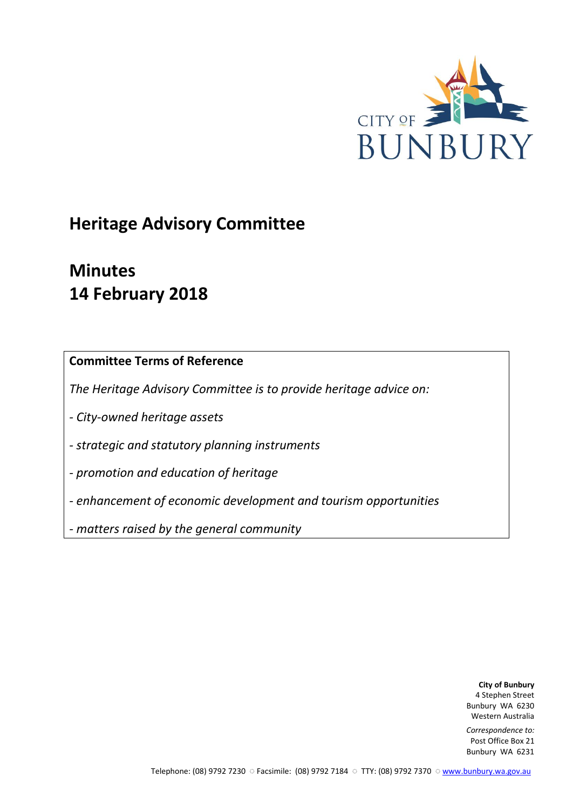

# **Heritage Advisory Committee**

# **Minutes 14 February 2018**

**Committee Terms of Reference**

*The Heritage Advisory Committee is to provide heritage advice on:*

*- City-owned heritage assets*

*- strategic and statutory planning instruments*

*- promotion and education of heritage*

*- enhancement of economic development and tourism opportunities*

*- matters raised by the general community*

**City of Bunbury** 4 Stephen Street Bunbury WA 6230 Western Australia

*Correspondence to:* Post Office Box 21 Bunbury WA 6231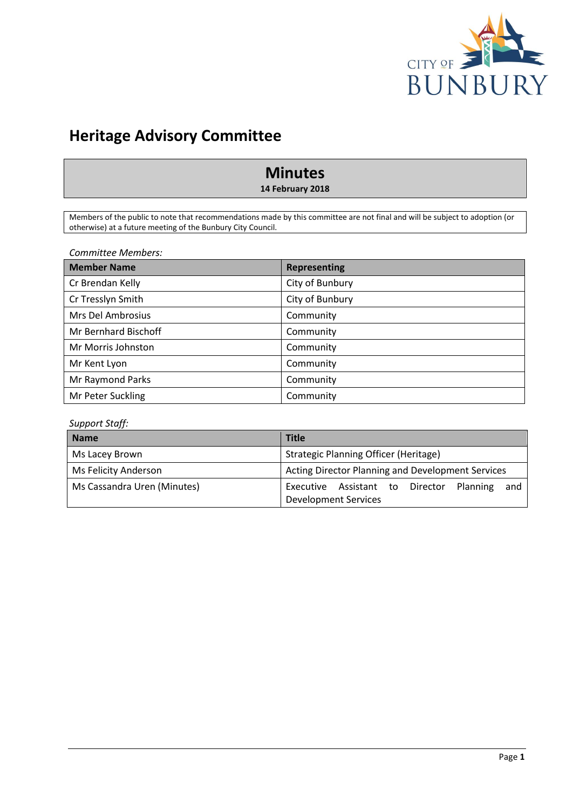

# **Heritage Advisory Committee**

# **Minutes**

**14 February 2018**

Members of the public to note that recommendations made by this committee are not final and will be subject to adoption (or otherwise) at a future meeting of the Bunbury City Council.

*Committee Members:*

| <b>Member Name</b>   | <b>Representing</b> |
|----------------------|---------------------|
| Cr Brendan Kelly     | City of Bunbury     |
| Cr Tresslyn Smith    | City of Bunbury     |
| Mrs Del Ambrosius    | Community           |
| Mr Bernhard Bischoff | Community           |
| Mr Morris Johnston   | Community           |
| Mr Kent Lyon         | Community           |
| Mr Raymond Parks     | Community           |
| Mr Peter Suckling    | Community           |

# *Support Staff:*

| <b>Name</b>                 | <b>Title</b>                                                                   |
|-----------------------------|--------------------------------------------------------------------------------|
| Ms Lacey Brown              | <b>Strategic Planning Officer (Heritage)</b>                                   |
| Ms Felicity Anderson        | <b>Acting Director Planning and Development Services</b>                       |
| Ms Cassandra Uren (Minutes) | Executive Assistant to Director Planning<br>and<br><b>Development Services</b> |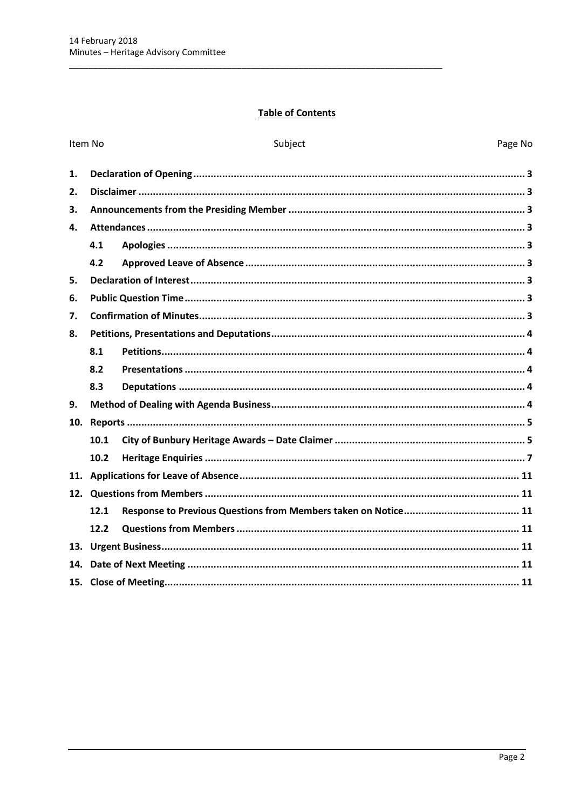# **Table of Contents**

|     | Item No | Subject | Page No |
|-----|---------|---------|---------|
| 1.  |         |         |         |
| 2.  |         |         |         |
| 3.  |         |         |         |
| 4.  |         |         |         |
|     | 4.1     |         |         |
|     | 4.2     |         |         |
| 5.  |         |         |         |
| 6.  |         |         |         |
| 7.  |         |         |         |
| 8.  |         |         |         |
|     | 8.1     |         |         |
|     | 8.2     |         |         |
|     | 8.3     |         |         |
| 9.  |         |         |         |
| 10. |         |         |         |
|     | 10.1    |         |         |
|     | 10.2    |         |         |
|     |         |         |         |
|     |         |         |         |
|     | 12.1    |         |         |
|     | 12.2    |         |         |
|     |         |         |         |
|     |         |         |         |
|     |         |         |         |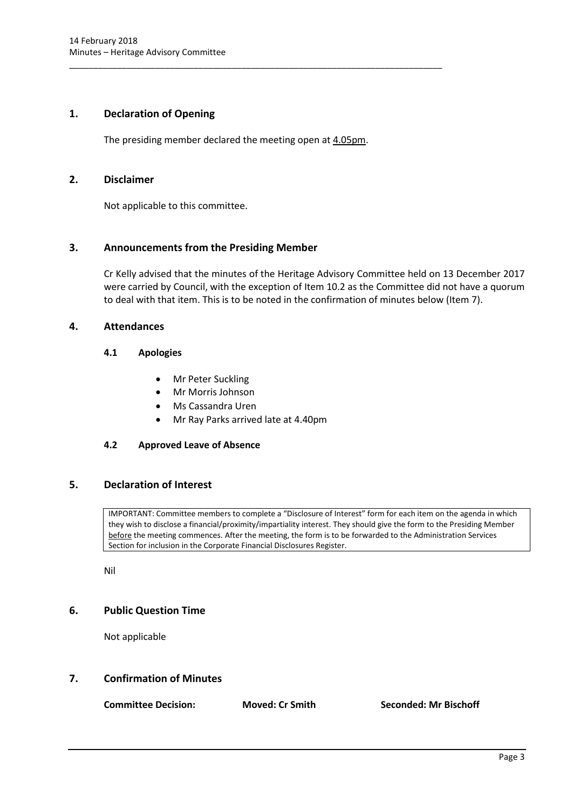# <span id="page-3-0"></span>**1. Declaration of Opening**

The presiding member declared the meeting open at 4.05pm.

\_\_\_\_\_\_\_\_\_\_\_\_\_\_\_\_\_\_\_\_\_\_\_\_\_\_\_\_\_\_\_\_\_\_\_\_\_\_\_\_\_\_\_\_\_\_\_\_\_\_\_\_\_\_\_\_\_\_\_\_\_\_\_\_\_\_\_\_\_\_\_\_\_\_\_\_\_\_

# <span id="page-3-1"></span>**2. Disclaimer**

Not applicable to this committee.

# <span id="page-3-2"></span>**3. Announcements from the Presiding Member**

Cr Kelly advised that the minutes of the Heritage Advisory Committee held on 13 December 2017 were carried by Council, with the exception of Item 10.2 as the Committee did not have a quorum to deal with that item. This is to be noted in the confirmation of minutes below (Item 7).

# <span id="page-3-4"></span><span id="page-3-3"></span>**4. Attendances**

# **4.1 Apologies**

- Mr Peter Suckling
- Mr Morris Johnson
- Ms Cassandra Uren
- Mr Ray Parks arrived late at 4.40pm

# <span id="page-3-5"></span>**4.2 Approved Leave of Absence**

# <span id="page-3-6"></span>**5. Declaration of Interest**

IMPORTANT: Committee members to complete a "Disclosure of Interest" form for each item on the agenda in which they wish to disclose a financial/proximity/impartiality interest. They should give the form to the Presiding Member before the meeting commences. After the meeting, the form is to be forwarded to the Administration Services Section for inclusion in the Corporate Financial Disclosures Register.

Nil

# <span id="page-3-7"></span>**6. Public Question Time**

Not applicable

# <span id="page-3-8"></span>**7. Confirmation of Minutes**

**Committee Decision: Moved: Cr Smith Seconded: Mr Bischoff**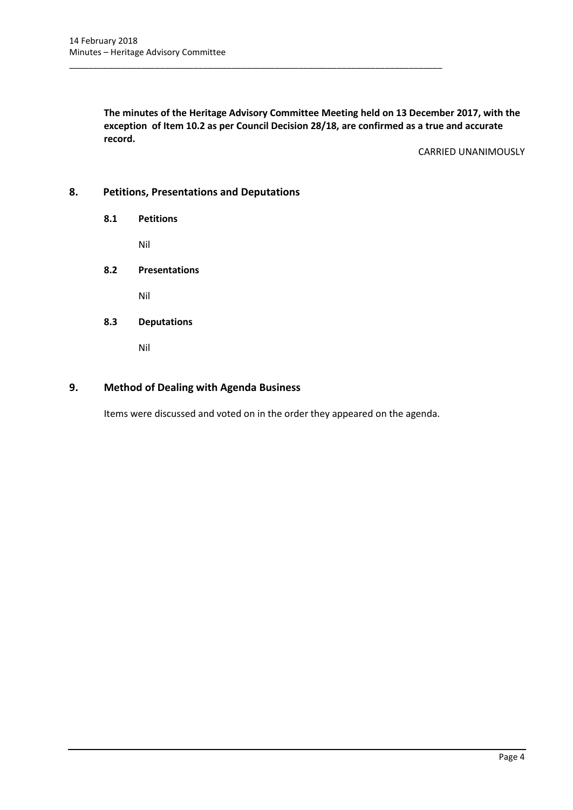**The minutes of the Heritage Advisory Committee Meeting held on 13 December 2017, with the exception of Item 10.2 as per Council Decision 28/18, are confirmed as a true and accurate record.**

\_\_\_\_\_\_\_\_\_\_\_\_\_\_\_\_\_\_\_\_\_\_\_\_\_\_\_\_\_\_\_\_\_\_\_\_\_\_\_\_\_\_\_\_\_\_\_\_\_\_\_\_\_\_\_\_\_\_\_\_\_\_\_\_\_\_\_\_\_\_\_\_\_\_\_\_\_\_

CARRIED UNANIMOUSLY

# <span id="page-4-1"></span><span id="page-4-0"></span>**8. Petitions, Presentations and Deputations**

**8.1 Petitions**

Nil

<span id="page-4-2"></span>**8.2 Presentations**

Nil

<span id="page-4-3"></span>**8.3 Deputations**

Nil

# <span id="page-4-4"></span>**9. Method of Dealing with Agenda Business**

Items were discussed and voted on in the order they appeared on the agenda.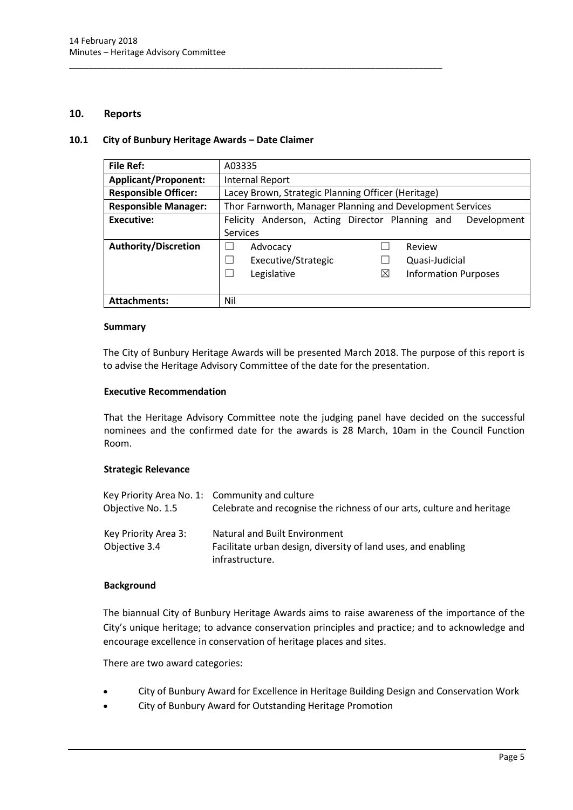### <span id="page-5-0"></span>**10. Reports**

#### <span id="page-5-1"></span>**10.1 City of Bunbury Heritage Awards – Date Claimer**

\_\_\_\_\_\_\_\_\_\_\_\_\_\_\_\_\_\_\_\_\_\_\_\_\_\_\_\_\_\_\_\_\_\_\_\_\_\_\_\_\_\_\_\_\_\_\_\_\_\_\_\_\_\_\_\_\_\_\_\_\_\_\_\_\_\_\_\_\_\_\_\_\_\_\_\_\_\_

| <b>File Ref:</b>            | A03335                                                         |  |
|-----------------------------|----------------------------------------------------------------|--|
| <b>Applicant/Proponent:</b> | Internal Report                                                |  |
| <b>Responsible Officer:</b> | Lacey Brown, Strategic Planning Officer (Heritage)             |  |
| <b>Responsible Manager:</b> | Thor Farnworth, Manager Planning and Development Services      |  |
| Executive:                  | Felicity Anderson, Acting Director Planning and<br>Development |  |
|                             | Services                                                       |  |
| Authority/Discretion        | Review<br>Advocacy                                             |  |
|                             | Executive/Strategic<br>Quasi-Judicial                          |  |
|                             | Legislative<br><b>Information Purposes</b><br>$\times$         |  |
|                             |                                                                |  |
| <b>Attachments:</b>         | Nil                                                            |  |

#### **Summary**

The City of Bunbury Heritage Awards will be presented March 2018. The purpose of this report is to advise the Heritage Advisory Committee of the date for the presentation.

#### **Executive Recommendation**

That the Heritage Advisory Committee note the judging panel have decided on the successful nominees and the confirmed date for the awards is 28 March, 10am in the Council Function Room.

# **Strategic Relevance**

| Objective No. 1.5                     | Key Priority Area No. 1: Community and culture<br>Celebrate and recognise the richness of our arts, culture and heritage |
|---------------------------------------|--------------------------------------------------------------------------------------------------------------------------|
| Key Priority Area 3:<br>Objective 3.4 | Natural and Built Environment<br>Facilitate urban design, diversity of land uses, and enabling                           |
|                                       | infrastructure.                                                                                                          |

#### **Background**

The biannual City of Bunbury Heritage Awards aims to raise awareness of the importance of the City's unique heritage; to advance conservation principles and practice; and to acknowledge and encourage excellence in conservation of heritage places and sites.

There are two award categories:

- City of Bunbury Award for Excellence in Heritage Building Design and Conservation Work
- City of Bunbury Award for Outstanding Heritage Promotion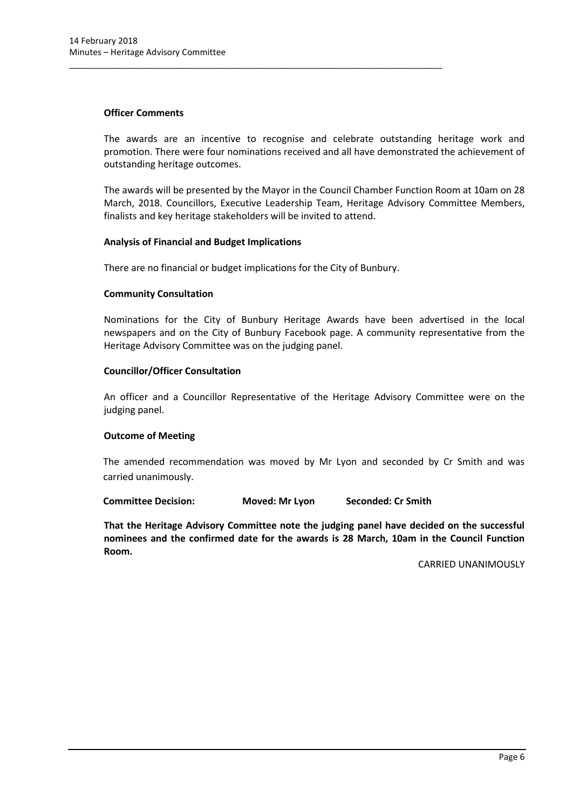### **Officer Comments**

The awards are an incentive to recognise and celebrate outstanding heritage work and promotion. There were four nominations received and all have demonstrated the achievement of outstanding heritage outcomes.

The awards will be presented by the Mayor in the Council Chamber Function Room at 10am on 28 March, 2018. Councillors, Executive Leadership Team, Heritage Advisory Committee Members, finalists and key heritage stakeholders will be invited to attend.

#### **Analysis of Financial and Budget Implications**

There are no financial or budget implications for the City of Bunbury.

\_\_\_\_\_\_\_\_\_\_\_\_\_\_\_\_\_\_\_\_\_\_\_\_\_\_\_\_\_\_\_\_\_\_\_\_\_\_\_\_\_\_\_\_\_\_\_\_\_\_\_\_\_\_\_\_\_\_\_\_\_\_\_\_\_\_\_\_\_\_\_\_\_\_\_\_\_\_

#### **Community Consultation**

Nominations for the City of Bunbury Heritage Awards have been advertised in the local newspapers and on the City of Bunbury Facebook page. A community representative from the Heritage Advisory Committee was on the judging panel.

#### **Councillor/Officer Consultation**

An officer and a Councillor Representative of the Heritage Advisory Committee were on the judging panel.

# **Outcome of Meeting**

The amended recommendation was moved by Mr Lyon and seconded by Cr Smith and was carried unanimously.

**Committee Decision: Moved: Mr Lyon Seconded: Cr Smith**

**That the Heritage Advisory Committee note the judging panel have decided on the successful nominees and the confirmed date for the awards is 28 March, 10am in the Council Function Room.** 

CARRIED UNANIMOUSLY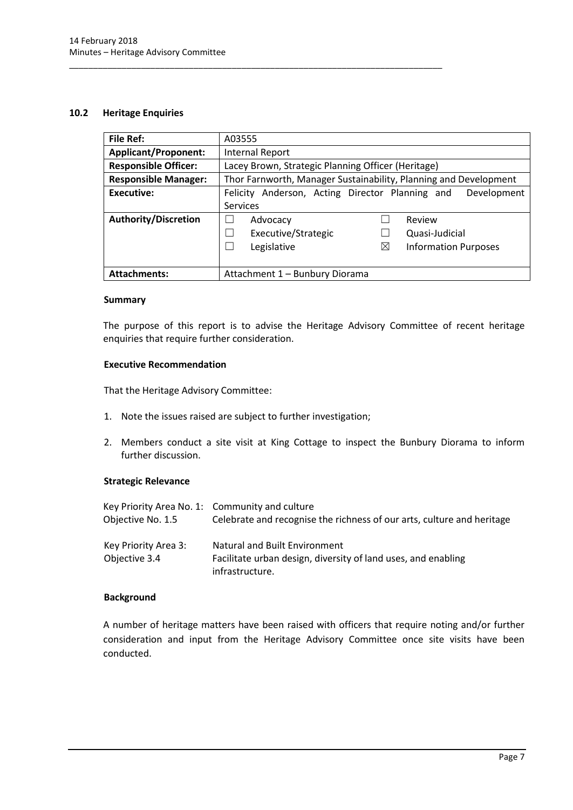# <span id="page-7-0"></span>**10.2 Heritage Enquiries**

| <b>File Ref:</b>            | A03555                                                           |  |
|-----------------------------|------------------------------------------------------------------|--|
| <b>Applicant/Proponent:</b> | Internal Report                                                  |  |
| <b>Responsible Officer:</b> | Lacey Brown, Strategic Planning Officer (Heritage)               |  |
| <b>Responsible Manager:</b> | Thor Farnworth, Manager Sustainability, Planning and Development |  |
| Executive:                  | Felicity Anderson, Acting Director Planning and<br>Development   |  |
|                             | <b>Services</b>                                                  |  |
| <b>Authority/Discretion</b> | Review<br>Advocacy                                               |  |
|                             | Executive/Strategic<br>Quasi-Judicial                            |  |
|                             | Legislative<br>⊠<br><b>Information Purposes</b>                  |  |
|                             |                                                                  |  |
| <b>Attachments:</b>         | Attachment 1 - Bunbury Diorama                                   |  |

#### **Summary**

The purpose of this report is to advise the Heritage Advisory Committee of recent heritage enquiries that require further consideration.

#### **Executive Recommendation**

That the Heritage Advisory Committee:

1. Note the issues raised are subject to further investigation;

\_\_\_\_\_\_\_\_\_\_\_\_\_\_\_\_\_\_\_\_\_\_\_\_\_\_\_\_\_\_\_\_\_\_\_\_\_\_\_\_\_\_\_\_\_\_\_\_\_\_\_\_\_\_\_\_\_\_\_\_\_\_\_\_\_\_\_\_\_\_\_\_\_\_\_\_\_\_

2. Members conduct a site visit at King Cottage to inspect the Bunbury Diorama to inform further discussion.

# **Strategic Relevance**

| Key Priority Area No. 1: Community and culture<br>Objective No. 1.5 | Celebrate and recognise the richness of our arts, culture and heritage                                            |
|---------------------------------------------------------------------|-------------------------------------------------------------------------------------------------------------------|
| Key Priority Area 3:<br>Objective 3.4                               | Natural and Built Environment<br>Facilitate urban design, diversity of land uses, and enabling<br>infrastructure. |

# **Background**

A number of heritage matters have been raised with officers that require noting and/or further consideration and input from the Heritage Advisory Committee once site visits have been conducted.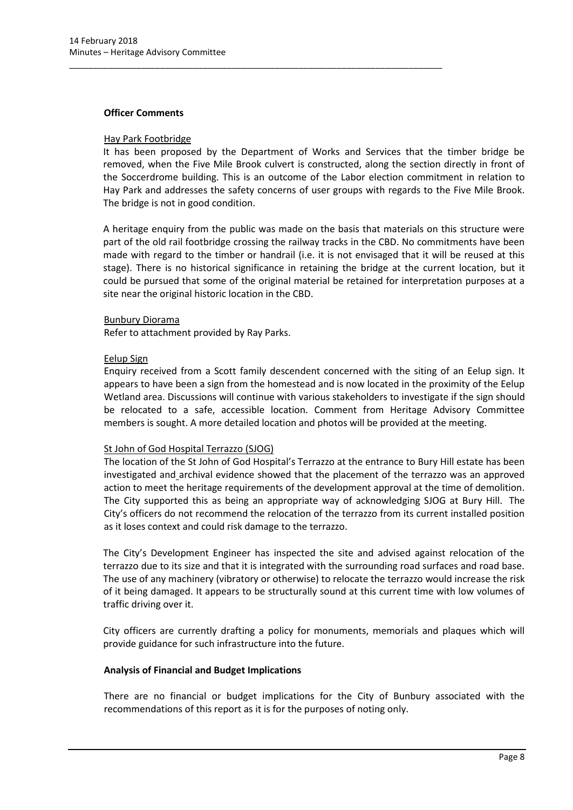#### **Officer Comments**

### Hay Park Footbridge

It has been proposed by the Department of Works and Services that the timber bridge be removed, when the Five Mile Brook culvert is constructed, along the section directly in front of the Soccerdrome building. This is an outcome of the Labor election commitment in relation to Hay Park and addresses the safety concerns of user groups with regards to the Five Mile Brook. The bridge is not in good condition.

\_\_\_\_\_\_\_\_\_\_\_\_\_\_\_\_\_\_\_\_\_\_\_\_\_\_\_\_\_\_\_\_\_\_\_\_\_\_\_\_\_\_\_\_\_\_\_\_\_\_\_\_\_\_\_\_\_\_\_\_\_\_\_\_\_\_\_\_\_\_\_\_\_\_\_\_\_\_

A heritage enquiry from the public was made on the basis that materials on this structure were part of the old rail footbridge crossing the railway tracks in the CBD. No commitments have been made with regard to the timber or handrail (i.e. it is not envisaged that it will be reused at this stage). There is no historical significance in retaining the bridge at the current location, but it could be pursued that some of the original material be retained for interpretation purposes at a site near the original historic location in the CBD.

#### Bunbury Diorama

Refer to attachment provided by Ray Parks.

#### Eelup Sign

Enquiry received from a Scott family descendent concerned with the siting of an Eelup sign. It appears to have been a sign from the homestead and is now located in the proximity of the Eelup Wetland area. Discussions will continue with various stakeholders to investigate if the sign should be relocated to a safe, accessible location. Comment from Heritage Advisory Committee members is sought. A more detailed location and photos will be provided at the meeting.

# St John of God Hospital Terrazzo (SJOG)

The location of the St John of God Hospital's Terrazzo at the entrance to Bury Hill estate has been investigated and archival evidence showed that the placement of the terrazzo was an approved action to meet the heritage requirements of the development approval at the time of demolition. The City supported this as being an appropriate way of acknowledging SJOG at Bury Hill. The City's officers do not recommend the relocation of the terrazzo from its current installed position as it loses context and could risk damage to the terrazzo.

The City's Development Engineer has inspected the site and advised against relocation of the terrazzo due to its size and that it is integrated with the surrounding road surfaces and road base. The use of any machinery (vibratory or otherwise) to relocate the terrazzo would increase the risk of it being damaged. It appears to be structurally sound at this current time with low volumes of traffic driving over it.

City officers are currently drafting a policy for monuments, memorials and plaques which will provide guidance for such infrastructure into the future.

#### **Analysis of Financial and Budget Implications**

There are no financial or budget implications for the City of Bunbury associated with the recommendations of this report as it is for the purposes of noting only.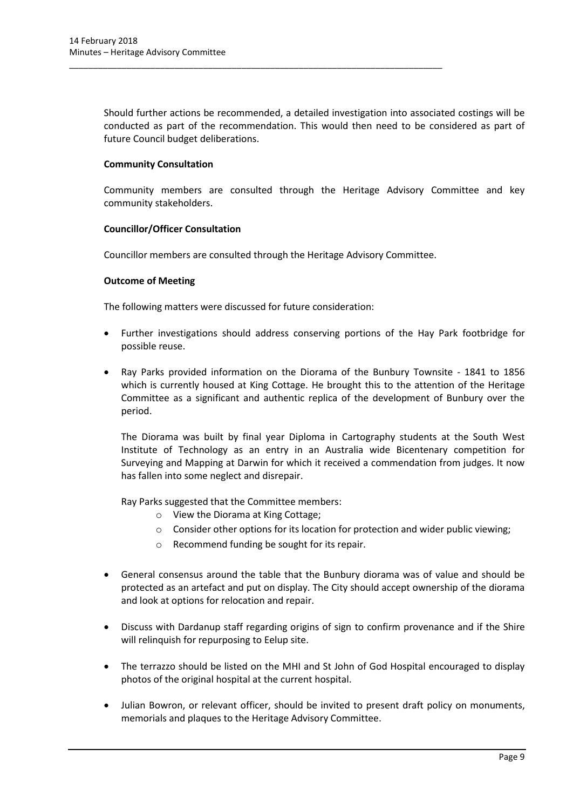Should further actions be recommended, a detailed investigation into associated costings will be conducted as part of the recommendation. This would then need to be considered as part of future Council budget deliberations.

# **Community Consultation**

Community members are consulted through the Heritage Advisory Committee and key community stakeholders.

# **Councillor/Officer Consultation**

Councillor members are consulted through the Heritage Advisory Committee.

\_\_\_\_\_\_\_\_\_\_\_\_\_\_\_\_\_\_\_\_\_\_\_\_\_\_\_\_\_\_\_\_\_\_\_\_\_\_\_\_\_\_\_\_\_\_\_\_\_\_\_\_\_\_\_\_\_\_\_\_\_\_\_\_\_\_\_\_\_\_\_\_\_\_\_\_\_\_

# **Outcome of Meeting**

The following matters were discussed for future consideration:

- Further investigations should address conserving portions of the Hay Park footbridge for possible reuse.
- Ray Parks provided information on the Diorama of the Bunbury Townsite 1841 to 1856 which is currently housed at King Cottage. He brought this to the attention of the Heritage Committee as a significant and authentic replica of the development of Bunbury over the period.

The Diorama was built by final year Diploma in Cartography students at the South West Institute of Technology as an entry in an Australia wide Bicentenary competition for Surveying and Mapping at Darwin for which it received a commendation from judges. It now has fallen into some neglect and disrepair.

Ray Parks suggested that the Committee members:

- o View the Diorama at King Cottage;
- o Consider other options for its location for protection and wider public viewing;
- o Recommend funding be sought for its repair.
- General consensus around the table that the Bunbury diorama was of value and should be protected as an artefact and put on display. The City should accept ownership of the diorama and look at options for relocation and repair.
- Discuss with Dardanup staff regarding origins of sign to confirm provenance and if the Shire will relinquish for repurposing to Eelup site.
- The terrazzo should be listed on the MHI and St John of God Hospital encouraged to display photos of the original hospital at the current hospital.
- Julian Bowron, or relevant officer, should be invited to present draft policy on monuments, memorials and plaques to the Heritage Advisory Committee.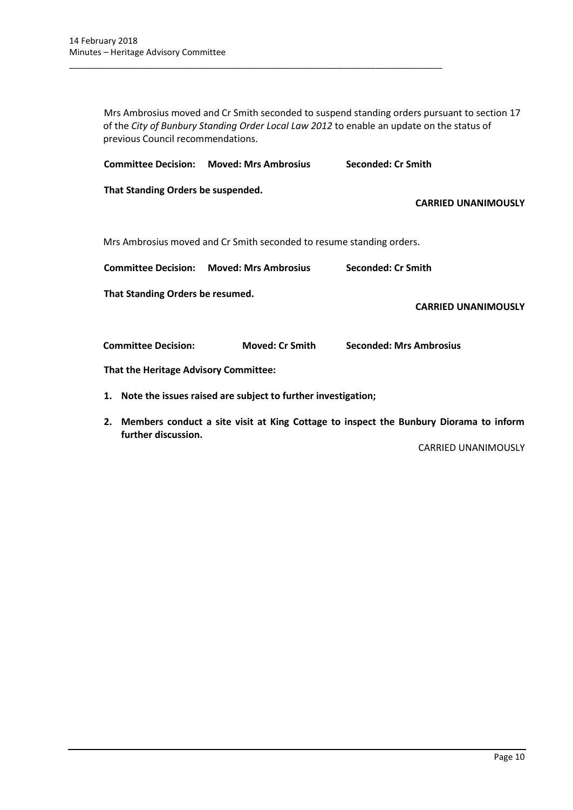Mrs Ambrosius moved and Cr Smith seconded to suspend standing orders pursuant to section 17 of the *City of Bunbury Standing Order Local Law 2012* to enable an update on the status of previous Council recommendations.

**Committee Decision: Moved: Mrs Ambrosius Seconded: Cr Smith**

\_\_\_\_\_\_\_\_\_\_\_\_\_\_\_\_\_\_\_\_\_\_\_\_\_\_\_\_\_\_\_\_\_\_\_\_\_\_\_\_\_\_\_\_\_\_\_\_\_\_\_\_\_\_\_\_\_\_\_\_\_\_\_\_\_\_\_\_\_\_\_\_\_\_\_\_\_\_

**That Standing Orders be suspended.**

**CARRIED UNANIMOUSLY**

Mrs Ambrosius moved and Cr Smith seconded to resume standing orders.

**Committee Decision: Moved: Mrs Ambrosius Seconded: Cr Smith**

**That Standing Orders be resumed.**

**CARRIED UNANIMOUSLY**

**Committee Decision: Moved: Cr Smith Seconded: Mrs Ambrosius**

**That the Heritage Advisory Committee:**

- **1. Note the issues raised are subject to further investigation;**
- **2. Members conduct a site visit at King Cottage to inspect the Bunbury Diorama to inform further discussion.**

CARRIED UNANIMOUSLY